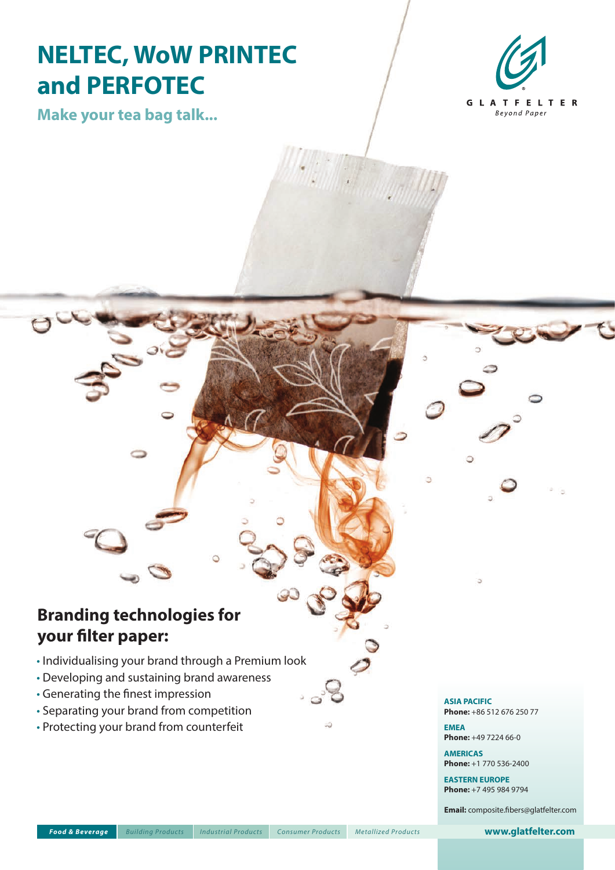# **NELTEC, WoW PRINTEC and PERFOTEC**

**GLATFELTER** Beyond Paper

**Make your tea bag talk...**

## **Branding technologies for your filter paper:**

- Individualising your brand through a Premium look
- Developing and sustaining brand awareness
- Generating the finest impression
- Separating your brand from competition
- Protecting your brand from counterfeit

#### **ASIA PACIFIC**

**Phone:** +86 512 676 250 77

**EMEA Phone:** +49 7224 66-0

*Technical Specialties Food & Beverage Metallized Products Composite Laminates* **AMERICAS Phone:** +1 770 536-2400

> **EASTERN EUROPE Phone:** +7 495 984 9794

**Email:** composite.fibers@glatfelter.com